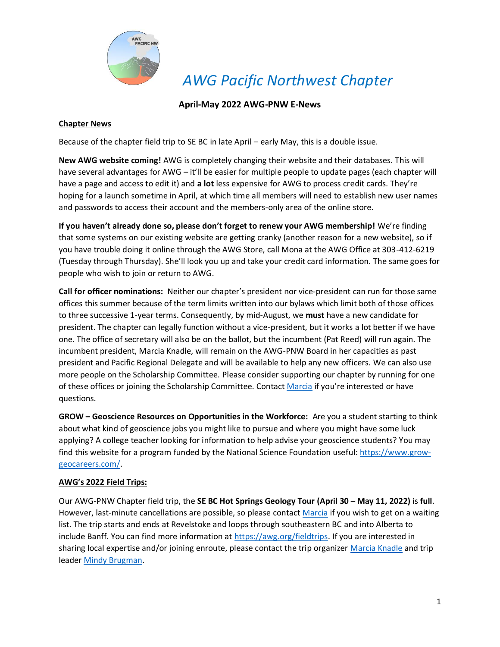

*AWG Pacific Northwest Chapter*

### **April-May 2022 AWG-PNW E-News**

### **Chapter News**

Because of the chapter field trip to SE BC in late April – early May, this is a double issue.

**New AWG website coming!** AWG is completely changing their website and their databases. This will have several advantages for AWG – it'll be easier for multiple people to update pages (each chapter will have a page and access to edit it) and **a lot** less expensive for AWG to process credit cards. They're hoping for a launch sometime in April, at which time all members will need to establish new user names and passwords to access their account and the members-only area of the online store.

**If you haven't already done so, please don't forget to renew your AWG membership!** We're finding that some systems on our existing website are getting cranky (another reason for a new website), so if you have trouble doing it online through the AWG Store, call Mona at the AWG Office at 303-412-6219 (Tuesday through Thursday). She'll look you up and take your credit card information. The same goes for people who wish to join or return to AWG.

**Call for officer nominations:** Neither our chapter's president nor vice-president can run for those same offices this summer because of the term limits written into our bylaws which limit both of those offices to three successive 1-year terms. Consequently, by mid-August, we **must** have a new candidate for president. The chapter can legally function without a vice-president, but it works a lot better if we have one. The office of secretary will also be on the ballot, but the incumbent (Pat Reed) will run again. The incumbent president, Marcia Knadle, will remain on the AWG-PNW Board in her capacities as past president and Pacific Regional Delegate and will be available to help any new officers. We can also use more people on the Scholarship Committee. Please consider supporting our chapter by running for one of these offices or joining the Scholarship Committee. Contact [Marcia](mailto:president@awgpnw.org) if you're interested or have questions.

**GROW – Geoscience Resources on Opportunities in the Workforce:** Are you a student starting to think about what kind of geoscience jobs you might like to pursue and where you might have some luck applying? A college teacher looking for information to help advise your geoscience students? You may find this website for a program funded by the National Science Foundation useful[: https://www.grow](https://www.grow-geocareers.com/)[geocareers.com/.](https://www.grow-geocareers.com/)

### **AWG's 2022 Field Trips:**

Our AWG-PNW Chapter field trip, the **SE BC Hot Springs Geology Tour (April 30 – May 11, 2022)** is **full**. However, last-minute cancellations are possible, so please contact [Marcia](mailto:president@awgpnw.org) if you wish to get on a waiting list. The trip starts and ends at Revelstoke and loops through southeastern BC and into Alberta to include Banff. You can find more information at [https://awg.org/fieldtrips.](https://awg.org/fieldtrips) If you are interested in sharing local expertise and/or joining enroute, please contact the trip organizer [Marcia Knadle](mailto:president@awgpnw.org) and trip leader [Mindy Brugman.](mailto:brugmanm@telus.net)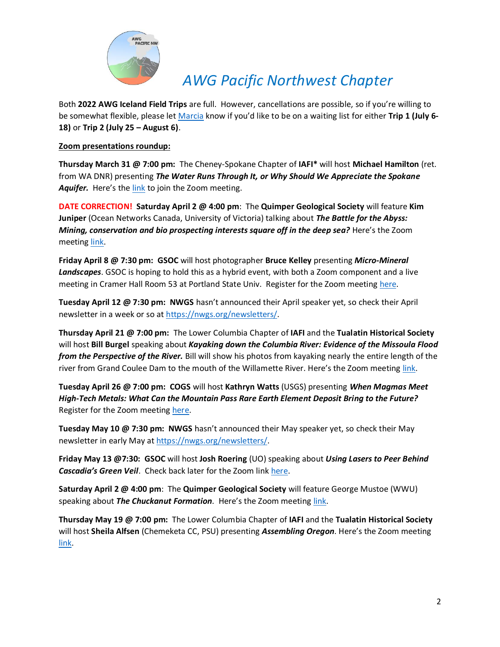

## *AWG Pacific Northwest Chapter*

Both **2022 AWG Iceland Field Trips** are full. However, cancellations are possible, so if you're willing to be somewhat flexible, please let [Marcia](mailto:president@awgpnw.org) know if you'd like to be on a waiting list for either **Trip 1 (July 6- 18)** or **Trip 2 (July 25 – August 6)**.

#### **Zoom presentations roundup:**

**Thursday March 31 @ 7:00 pm:** The Cheney-Spokane Chapter of **IAFI\*** will host **Michael Hamilton** (ret. from WA DNR) presenting *The Water Runs Through It, or Why Should We Appreciate the Spokane* Aquifer. Here's the [link](file:///C:/Users/User/Documents/Documents/AWG/Chapter/2022%20E-News/Zoom%20Meeting%20link:%20https:/us02web.zoom.us/j/82268894818%3fpwd=bmdDMW02U3NFV3FFRmNiZmZnQVR4Zz09) to join the Zoom meeting.

**DATE CORRECTION! Saturday April 2 @ 4:00 pm**: The **Quimper Geological Society** will feature **Kim Juniper** (Ocean Networks Canada, University of Victoria) talking about *The Battle for the Abyss: Mining, conservation and bio prospecting interests square off in the deep sea?* Here's the Zoom meeting [link.](https://zoom.us/j/96417908762?pwd=VkQ5WEM2UHlzdGZydkptTEhqV1I4QT09)

**Friday April 8 @ 7:30 pm: GSOC** will host photographer **Bruce Kelley** presenting *Micro-Mineral Landscapes*. GSOC is hoping to hold this as a hybrid event, with both a Zoom component and a live meeting in Cramer Hall Room 53 at Portland State Univ. Register for the Zoom meeting [here.](https://us02web.zoom.us/meeting/register/tZMsc--uqDItEtQGAsoIqsefMFxEyWhZ6Fsy)

**Tuesday April 12 @ 7:30 pm: NWGS** hasn't announced their April speaker yet, so check their April newsletter in a week or so at [https://nwgs.org/newsletters/.](https://nwgs.org/newsletters/)

**Thursday April 21 @ 7:00 pm:** The Lower Columbia Chapter of **IAFI** and the **Tualatin Historical Society** will host **Bill Burgel** speaking about *Kayaking down the Columbia River: Evidence of the Missoula Flood from the Perspective of the River.* Bill will show his photos from kayaking nearly the entire length of the river from Grand Coulee Dam to the mouth of the Willamette River. Here's the Zoom meeting [link.](https://us02web.zoom.us/j/89236343741?pwd=YjJFVGl0MExyUHJlMEZ0ejRpdG1TQT09)

**Tuesday April 26 @ 7:00 pm: COGS** will host **Kathryn Watts** (USGS) presenting *When Magmas Meet High-Tech Metals: What Can the Mountain Pass Rare Earth Element Deposit Bring to the Future?* Register for the Zoom meeting [here.](https://us02web.zoom.us/meeting/register/tZ0sceCoqz4rGtQ6x_7GfzymYU8_u3ToTZ5W)

**Tuesday May 10 @ 7:30 pm: NWGS** hasn't announced their May speaker yet, so check their May newsletter in early May a[t https://nwgs.org/newsletters/.](https://nwgs.org/newsletters/)

**Friday May 13 @7:30: GSOC** will host **Josh Roering** (UO) speaking about *Using Lasers to Peer Behind Cascadia's Green Veil*. Check back later for the Zoom link [here.](http://www.gsoc.org/)

**Saturday April 2 @ 4:00 pm**: The **Quimper Geological Society** will feature George Mustoe (WWU) speaking about *The Chuckanut Formation*. Here's the Zoom meeting [link.](https://zoom.us/j/96417908762?pwd=VkQ5WEM2UHlzdGZydkptTEhqV1I4QT09)

**Thursday May 19 @ 7:00 pm:** The Lower Columbia Chapter of **IAFI** and the **Tualatin Historical Society** will host **Sheila Alfsen** (Chemeketa CC, PSU) presenting *Assembling Oregon*. Here's the Zoom meeting [link.](https://us02web.zoom.us/j/89236343741?pwd=YjJFVGl0MExyUHJlMEZ0ejRpdG1TQT09)